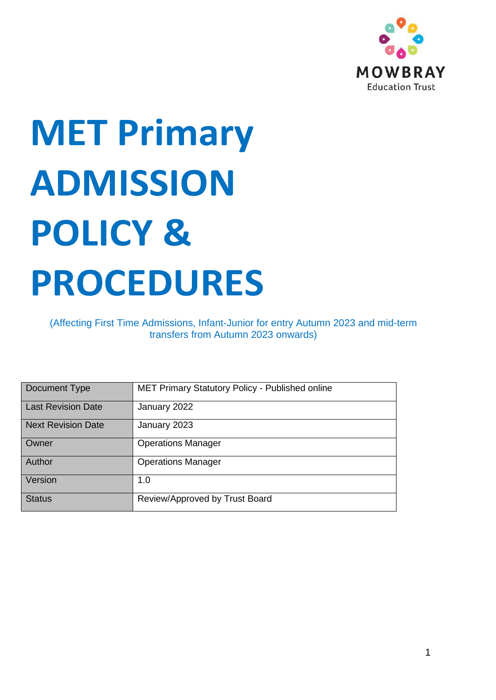

# **MET Primary ADMISSION POLICY & PROCEDURES**

(Affecting First Time Admissions, Infant-Junior for entry Autumn 2023 and mid-term transfers from Autumn 2023 onwards)

| Document Type             | MET Primary Statutory Policy - Published online |
|---------------------------|-------------------------------------------------|
| <b>Last Revision Date</b> | January 2022                                    |
| <b>Next Revision Date</b> | January 2023                                    |
| Owner                     | <b>Operations Manager</b>                       |
| Author                    | <b>Operations Manager</b>                       |
| Version                   | 1.0                                             |
| <b>Status</b>             | Review/Approved by Trust Board                  |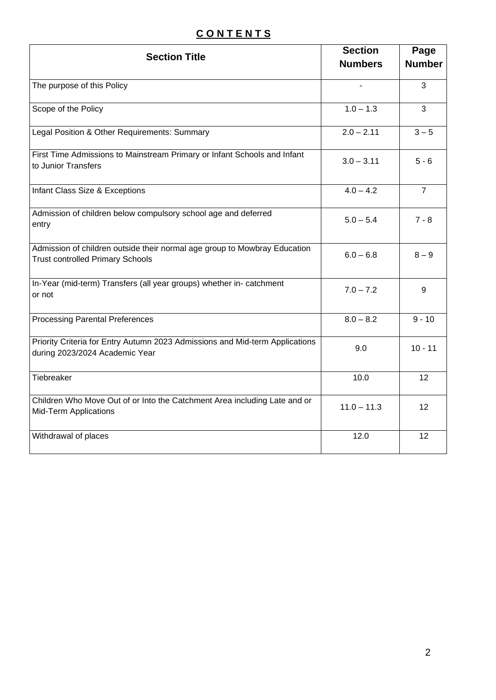# **C O N T E N T S**

| <b>Section Title</b>                                                                                                 | <b>Section</b> | Page           |
|----------------------------------------------------------------------------------------------------------------------|----------------|----------------|
|                                                                                                                      | <b>Numbers</b> | <b>Number</b>  |
| The purpose of this Policy                                                                                           | $\blacksquare$ | 3              |
| Scope of the Policy                                                                                                  | $1.0 - 1.3$    | 3              |
| Legal Position & Other Requirements: Summary                                                                         | $2.0 - 2.11$   | $3-5$          |
| First Time Admissions to Mainstream Primary or Infant Schools and Infant<br>to Junior Transfers                      | $3.0 - 3.11$   | $5 - 6$        |
| Infant Class Size & Exceptions                                                                                       | $4.0 - 4.2$    | $\overline{7}$ |
| Admission of children below compulsory school age and deferred<br>entry                                              | $5.0 - 5.4$    | $7 - 8$        |
| Admission of children outside their normal age group to Mowbray Education<br><b>Trust controlled Primary Schools</b> | $6.0 - 6.8$    | $8 - 9$        |
| In-Year (mid-term) Transfers (all year groups) whether in- catchment<br>or not                                       | $7.0 - 7.2$    | 9              |
| <b>Processing Parental Preferences</b>                                                                               | $8.0 - 8.2$    | $9 - 10$       |
| Priority Criteria for Entry Autumn 2023 Admissions and Mid-term Applications<br>during 2023/2024 Academic Year       | 9.0            | $10 - 11$      |
| Tiebreaker                                                                                                           | 10.0           | 12             |
| Children Who Move Out of or Into the Catchment Area including Late and or<br>Mid-Term Applications                   | $11.0 - 11.3$  | 12             |
| Withdrawal of places                                                                                                 | 12.0           | 12             |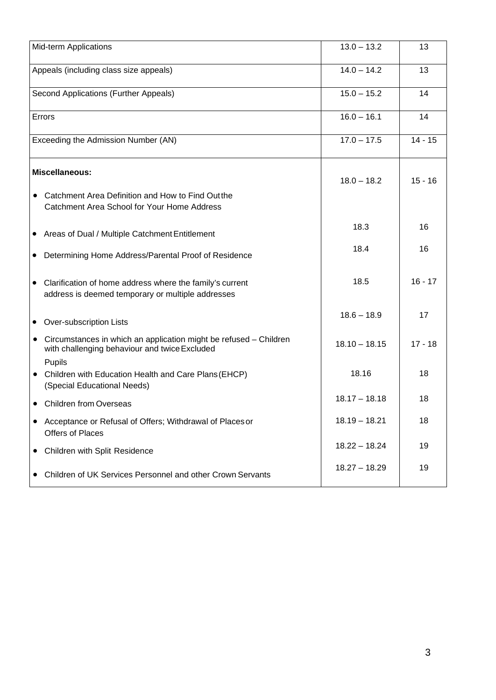| <b>Mid-term Applications</b>           |                                                                                                                    | $13.0 - 13.2$   | 13        |
|----------------------------------------|--------------------------------------------------------------------------------------------------------------------|-----------------|-----------|
| Appeals (including class size appeals) |                                                                                                                    | $14.0 - 14.2$   | 13        |
| Second Applications (Further Appeals)  |                                                                                                                    | $15.0 - 15.2$   | 14        |
| Errors                                 |                                                                                                                    | $16.0 - 16.1$   | 14        |
| Exceeding the Admission Number (AN)    |                                                                                                                    | $17.0 - 17.5$   | $14 - 15$ |
| $\bullet$                              | <b>Miscellaneous:</b><br>Catchment Area Definition and How to Find Out the                                         | $18.0 - 18.2$   | $15 - 16$ |
|                                        | Catchment Area School for Your Home Address                                                                        |                 |           |
|                                        | • Areas of Dual / Multiple Catchment Entitlement                                                                   | 18.3            | 16        |
| $\bullet$                              | Determining Home Address/Parental Proof of Residence                                                               | 18.4            | 16        |
|                                        | Clarification of home address where the family's current<br>address is deemed temporary or multiple addresses      | 18.5            | $16 - 17$ |
|                                        | • Over-subscription Lists                                                                                          | $18.6 - 18.9$   | 17        |
| $\bullet$                              | Circumstances in which an application might be refused - Children<br>with challenging behaviour and twice Excluded | $18.10 - 18.15$ | $17 - 18$ |
| $\bullet$                              | Pupils<br>Children with Education Health and Care Plans (EHCP)<br>(Special Educational Needs)                      | 18.16           | 18        |
|                                        | <b>Children from Overseas</b>                                                                                      | $18.17 - 18.18$ | 18        |
|                                        | Acceptance or Refusal of Offers; Withdrawal of Places or<br><b>Offers of Places</b>                                | $18.19 - 18.21$ | 18        |
|                                        | Children with Split Residence                                                                                      | $18.22 - 18.24$ | 19        |
| $\bullet$                              | Children of UK Services Personnel and other Crown Servants                                                         | $18.27 - 18.29$ | 19        |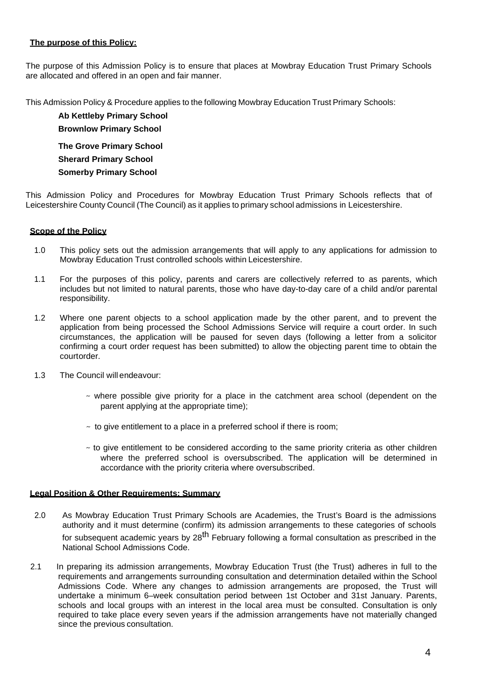# **The purpose of this Policy:**

The purpose of this Admission Policy is to ensure that places at Mowbray Education Trust Primary Schools are allocated and offered in an open and fair manner.

This Admission Policy & Procedure applies to the following Mowbray Education Trust Primary Schools:

**Ab Kettleby Primary School Brownlow Primary School The Grove Primary School Sherard Primary School Somerby Primary School**

This Admission Policy and Procedures for Mowbray Education Trust Primary Schools reflects that of Leicestershire County Council (The Council) as it applies to primary school admissions in Leicestershire.

# **Scope of the Policy**

- 1.0 This policy sets out the admission arrangements that will apply to any applications for admission to Mowbray Education Trust controlled schools within Leicestershire.
- 1.1 For the purposes of this policy, parents and carers are collectively referred to as parents, which includes but not limited to natural parents, those who have day-to-day care of a child and/or parental responsibility.
- 1.2 Where one parent objects to a school application made by the other parent, and to prevent the application from being processed the School Admissions Service will require a court order. In such circumstances, the application will be paused for seven days (following a letter from a solicitor confirming a court order request has been submitted) to allow the objecting parent time to obtain the courtorder.
- 1.3 The Council will endeavour:
	- $\sim$  where possible give priority for a place in the catchment area school (dependent on the parent applying at the appropriate time);
	- $\sim$  to give entitlement to a place in a preferred school if there is room;
	- $\sim$  to give entitlement to be considered according to the same priority criteria as other children where the preferred school is oversubscribed. The application will be determined in accordance with the priority criteria where oversubscribed.

# **Legal Position & Other Requirements: Summary**

- 2.0 As Mowbray Education Trust Primary Schools are Academies, the Trust's Board is the admissions authority and it must determine (confirm) its admission arrangements to these categories of schools for subsequent academic years by 28<sup>th</sup> February following a formal consultation as prescribed in the National School Admissions Code.
- 2.1 In preparing its admission arrangements, Mowbray Education Trust (the Trust) adheres in full to the requirements and arrangements surrounding consultation and determination detailed within the School Admissions Code. Where any changes to admission arrangements are proposed, the Trust will undertake a minimum 6–week consultation period between 1st October and 31st January. Parents, schools and local groups with an interest in the local area must be consulted. Consultation is only required to take place every seven years if the admission arrangements have not materially changed since the previous consultation.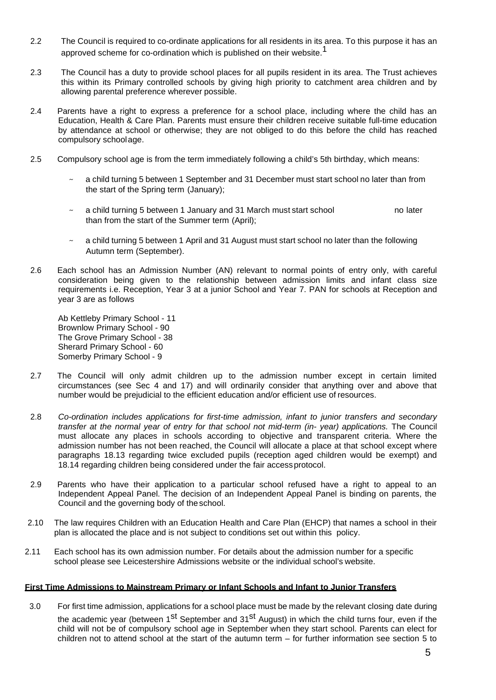- 2.2 The Council is required to co-ordinate applications for all residents in its area. To this purpose it has an approved scheme for co-ordination which is published on their website.<sup>1</sup>
- 2.3 The Council has a duty to provide school places for all pupils resident in its area. The Trust achieves this within its Primary controlled schools by giving high priority to catchment area children and by allowing parental preference wherever possible.
- 2.4 Parents have a right to express a preference for a school place, including where the child has an Education, Health & Care Plan. Parents must ensure their children receive suitable full-time education by attendance at school or otherwise; they are not obliged to do this before the child has reached compulsory schoolage.
- 2.5 Compulsory school age is from the term immediately following a child's 5th birthday, which means:
	- a child turning 5 between 1 September and 31 December must start school no later than from the start of the Spring term (January);
	- a child turning 5 between 1 January and 31 March must start school no later than from the start of the Summer term (April);
	- a child turning 5 between 1 April and 31 August must start school no later than the following Autumn term (September).
- 2.6 Each school has an Admission Number (AN) relevant to normal points of entry only, with careful consideration being given to the relationship between admission limits and infant class size requirements i.e. Reception, Year 3 at a junior School and Year 7. PAN for schools at Reception and year 3 are as follows

Ab Kettleby Primary School - 11 Brownlow Primary School - 90 The Grove Primary School - 38 Sherard Primary School - 60 Somerby Primary School - 9

- 2.7 The Council will only admit children up to the admission number except in certain limited circumstances (see Sec 4 and 17) and will ordinarily consider that anything over and above that number would be prejudicial to the efficient education and/or efficient use of resources.
- 2.8 *Co-ordination includes applications for first-time admission, infant to junior transfers and secondary transfer at the normal year of entry for that school not mid-term (in- year) applications.* The Council must allocate any places in schools according to objective and transparent criteria. Where the admission number has not been reached, the Council will allocate a place at that school except where paragraphs 18.13 regarding twice excluded pupils (reception aged children would be exempt) and 18.14 regarding children being considered under the fair accessprotocol.
- 2.9 Parents who have their application to a particular school refused have a right to appeal to an Independent Appeal Panel. The decision of an Independent Appeal Panel is binding on parents, the Council and the governing body of theschool.
- 2.10 The law requires Children with an Education Health and Care Plan (EHCP) that names a school in their plan is allocated the place and is not subject to conditions set out within this policy.
- 2.11 Each school has its own admission number. For details about the admission number for a specific school please see Leicestershire Admissions website or the individual school's website.

# **First Time Admissions to Mainstream Primary or Infant Schools and Infant to Junior Transfers**

3.0 For first time admission, applications for a school place must be made by the relevant closing date during the academic year (between 1<sup>st</sup> September and 31<sup>st</sup> August) in which the child turns four, even if the child will not be of compulsory school age in September when they start school. Parents can elect for children not to attend school at the start of the autumn term – for further information see section 5 to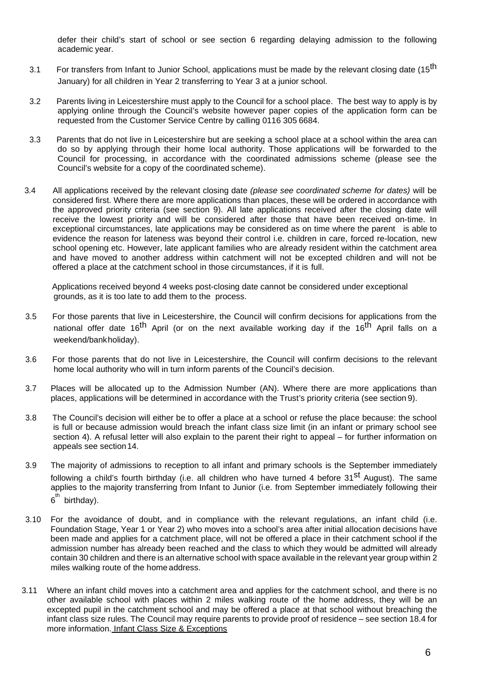defer their child's start of school or see section 6 regarding delaying admission to the following academic year.

- 3.1 For transfers from Infant to Junior School, applications must be made by the relevant closing date (15<sup>th</sup> January) for all children in Year 2 transferring to Year 3 at a junior school.
- 3.2 Parents living in Leicestershire must apply to the Council for a school place. The best way to apply is by applying online through the Council's website however paper copies of the application form can be requested from the Customer Service Centre by calling 0116 305 6684.
- 3.3 Parents that do not live in Leicestershire but are seeking a school place at a school within the area can do so by applying through their home local authority. Those applications will be forwarded to the Council for processing, in accordance with the coordinated admissions scheme (please see the Council's website for a copy of the coordinated scheme).
- 3.4 All applications received by the relevant closing date *(please see coordinated scheme for dates)* will be considered first. Where there are more applications than places, these will be ordered in accordance with the approved priority criteria (see section 9). All late applications received after the closing date will receive the lowest priority and will be considered after those that have been received on-time. In exceptional circumstances, late applications may be considered as on time where the parent is able to evidence the reason for lateness was beyond their control i.e. children in care, forced re-location, new school opening etc. However, late applicant families who are already resident within the catchment area and have moved to another address within catchment will not be excepted children and will not be offered a place at the catchment school in those circumstances, if it is full.

Applications received beyond 4 weeks post-closing date cannot be considered under exceptional grounds, as it is too late to add them to the process.

- 3.5 For those parents that live in Leicestershire, the Council will confirm decisions for applications from the national offer date 16<sup>th</sup> April (or on the next available working day if the 16<sup>th</sup> April falls on a weekend/bankholiday).
- 3.6 For those parents that do not live in Leicestershire, the Council will confirm decisions to the relevant home local authority who will in turn inform parents of the Council's decision.
- 3.7 Places will be allocated up to the Admission Number (AN). Where there are more applications than places, applications will be determined in accordance with the Trust's priority criteria (see section 9).
- 3.8 The Council's decision will either be to offer a place at a school or refuse the place because: the school is full or because admission would breach the infant class size limit (in an infant or primary school see section 4). A refusal letter will also explain to the parent their right to appeal – for further information on appeals see section14.
- 3.9 The majority of admissions to reception to all infant and primary schools is the September immediately following a child's fourth birthday (i.e. all children who have turned 4 before 31<sup>st</sup> August). The same applies to the majority transferring from Infant to Junior (i.e. from September immediately following their 6<sup>th</sup> birthday).
- 3.10 For the avoidance of doubt, and in compliance with the relevant regulations, an infant child (i.e. Foundation Stage, Year 1 or Year 2) who moves into a school's area after initial allocation decisions have been made and applies for a catchment place, will not be offered a place in their catchment school if the admission number has already been reached and the class to which they would be admitted will already contain 30 children and there is an alternative school with space available in the relevant year group within 2 miles walking route of the home address.
- 3.11 Where an infant child moves into a catchment area and applies for the catchment school, and there is no other available school with places within 2 miles walking route of the home address, they will be an excepted pupil in the catchment school and may be offered a place at that school without breaching the infant class size rules. The Council may require parents to provide proof of residence – see section 18.4 for more information. Infant Class Size & Exceptions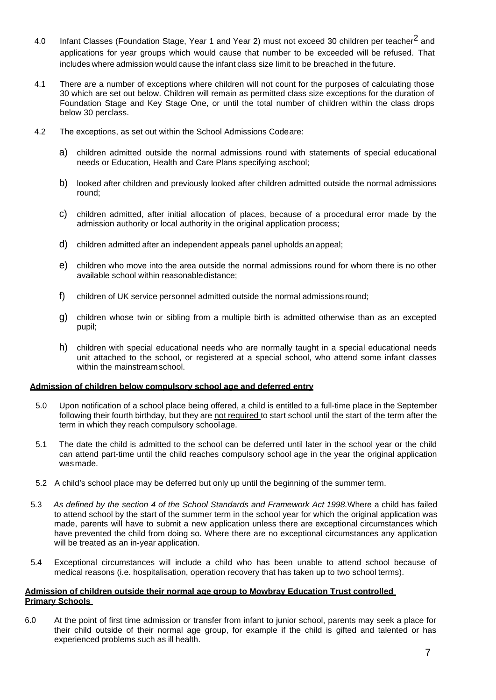- 4.0 Infant Classes (Foundation Stage, Year 1 and Year 2) must not exceed 30 children per teacher<sup>2</sup> and applications for year groups which would cause that number to be exceeded will be refused. That includes where admission would cause the infant class size limit to be breached in the future.
- 4.1 There are a number of exceptions where children will not count for the purposes of calculating those 30 which are set out below. Children will remain as permitted class size exceptions for the duration of Foundation Stage and Key Stage One, or until the total number of children within the class drops below 30 perclass.
- 4.2 The exceptions, as set out within the School Admissions Codeare:
	- a) children admitted outside the normal admissions round with statements of special educational needs or Education, Health and Care Plans specifying aschool;
	- b) looked after children and previously looked after children admitted outside the normal admissions round;
	- c) children admitted, after initial allocation of places, because of a procedural error made by the admission authority or local authority in the original application process;
	- d) children admitted after an independent appeals panel upholds an appeal;
	- e) children who move into the area outside the normal admissions round for whom there is no other available school within reasonabledistance;
	- f) children of UK service personnel admitted outside the normal admissions round;
	- g) children whose twin or sibling from a multiple birth is admitted otherwise than as an excepted pupil;
	- h) children with special educational needs who are normally taught in a special educational needs unit attached to the school, or registered at a special school, who attend some infant classes within the mainstreamschool.

#### **Admission of children below compulsory school age and deferred entry**

- 5.0 Upon notification of a school place being offered, a child is entitled to a full-time place in the September following their fourth birthday, but they are not required to start school until the start of the term after the term in which they reach compulsory school age.
- 5.1 The date the child is admitted to the school can be deferred until later in the school year or the child can attend part-time until the child reaches compulsory school age in the year the original application wasmade.
- 5.2 A child's school place may be deferred but only up until the beginning of the summer term.
- 5.3 *As defined by the section 4 of the School Standards and Framework Act 1998.*Where a child has failed to attend school by the start of the summer term in the school year for which the original application was made, parents will have to submit a new application unless there are exceptional circumstances which have prevented the child from doing so. Where there are no exceptional circumstances any application will be treated as an in-year application.
- 5.4 Exceptional circumstances will include a child who has been unable to attend school because of medical reasons (i.e. hospitalisation, operation recovery that has taken up to two school terms).

#### **Admission of children outside their normal age group to Mowbray Education Trust controlled Primary Schools**

6.0 At the point of first time admission or transfer from infant to junior school, parents may seek a place for their child outside of their normal age group, for example if the child is gifted and talented or has experienced problems such as ill health.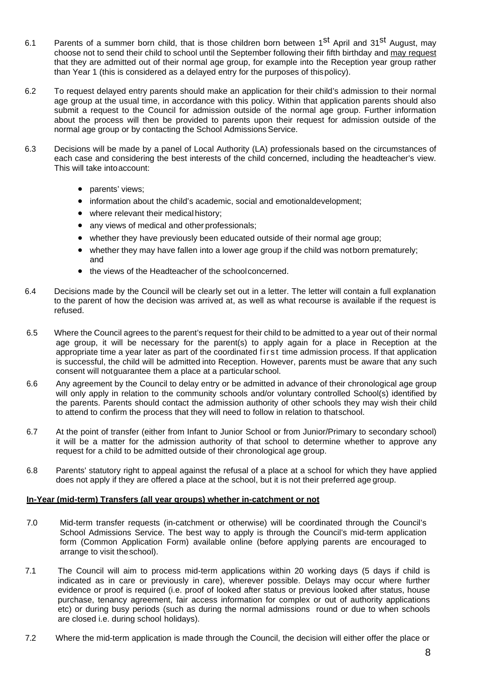- 6.1 Parents of a summer born child, that is those children born between 1<sup>st</sup> April and 31<sup>st</sup> August, may choose not to send their child to school until the September following their fifth birthday and may request that they are admitted out of their normal age group, for example into the Reception year group rather than Year 1 (this is considered as a delayed entry for the purposes of thispolicy).
- 6.2 To request delayed entry parents should make an application for their child's admission to their normal age group at the usual time, in accordance with this policy. Within that application parents should also submit a request to the Council for admission outside of the normal age group. Further information about the process will then be provided to parents upon their request for admission outside of the normal age group or by contacting the School Admissions Service.
- 6.3 Decisions will be made by a panel of Local Authority (LA) professionals based on the circumstances of each case and considering the best interests of the child concerned, including the headteacher's view. This will take intoaccount:
	- parents' views;
	- information about the child's academic, social and emotionaldevelopment;
	- where relevant their medical history;
	- any views of medical and other professionals;
	- whether they have previously been educated outside of their normal age group;
	- whether they may have fallen into a lower age group if the child was notborn prematurely; and
	- the views of the Headteacher of the schoolconcerned.
- 6.4 Decisions made by the Council will be clearly set out in a letter. The letter will contain a full explanation to the parent of how the decision was arrived at, as well as what recourse is available if the request is refused.
- 6.5 Where the Council agrees to the parent's request for their child to be admitted to a year out of their normal age group, it will be necessary for the parent(s) to apply again for a place in Reception at the appropriate time a year later as part of the coordinated first time admission process. If that application is successful, the child will be admitted into Reception. However, parents must be aware that any such consent will notguarantee them a place at a particular school.
- 6.6 Any agreement by the Council to delay entry or be admitted in advance of their chronological age group will only apply in relation to the community schools and/or voluntary controlled School(s) identified by the parents. Parents should contact the admission authority of other schools they may wish their child to attend to confirm the process that they will need to follow in relation to thatschool.
- 6.7 At the point of transfer (either from Infant to Junior School or from Junior/Primary to secondary school) it will be a matter for the admission authority of that school to determine whether to approve any request for a child to be admitted outside of their chronological age group.
- 6.8 Parents' statutory right to appeal against the refusal of a place at a school for which they have applied does not apply if they are offered a place at the school, but it is not their preferred age group.

# **In-Year (mid-term) Transfers (all year groups) whether in-catchment or not**

- 7.0 Mid-term transfer requests (in-catchment or otherwise) will be coordinated through the Council's School Admissions Service. The best way to apply is through the Council's mid-term application form (Common Application Form) available online (before applying parents are encouraged to arrange to visit theschool).
- 7.1 The Council will aim to process mid-term applications within 20 working days (5 days if child is indicated as in care or previously in care), wherever possible. Delays may occur where further evidence or proof is required (i.e. proof of looked after status or previous looked after status, house purchase, tenancy agreement, fair access information for complex or out of authority applications etc) or during busy periods (such as during the normal admissions round or due to when schools are closed i.e. during school holidays).
- 7.2 Where the mid-term application is made through the Council, the decision will either offer the place or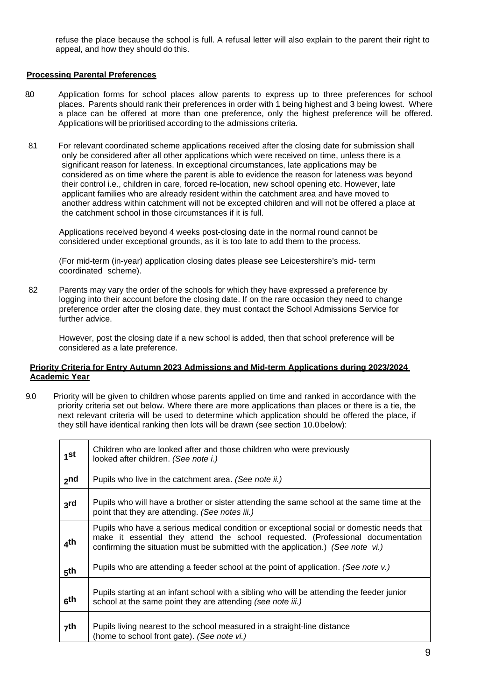refuse the place because the school is full. A refusal letter will also explain to the parent their right to appeal, and how they should do this.

# **Processing Parental Preferences**

- 8.0 Application forms for school places allow parents to express up to three preferences for school places. Parents should rank their preferences in order with 1 being highest and 3 being lowest. Where a place can be offered at more than one preference, only the highest preference will be offered. Applications will be prioritised according to the admissions criteria.
- 8.1 For relevant coordinated scheme applications received after the closing date for submission shall only be considered after all other applications which were received on time, unless there is a significant reason for lateness. In exceptional circumstances, late applications may be considered as on time where the parent is able to evidence the reason for lateness was beyond their control i.e., children in care, forced re-location, new school opening etc. However, late applicant families who are already resident within the catchment area and have moved to another address within catchment will not be excepted children and will not be offered a place at the catchment school in those circumstances if it is full.

Applications received beyond 4 weeks post-closing date in the normal round cannot be considered under exceptional grounds, as it is too late to add them to the process.

(For mid-term (in-year) application closing dates please see Leicestershire's mid- term coordinated scheme).

82 Parents may vary the order of the schools for which they have expressed a preference by logging into their account before the closing date. If on the rare occasion they need to change preference order after the closing date, they must contact the School Admissions Service for further advice.

However, post the closing date if a new school is added, then that school preference will be considered as a late preference.

# **Priority Criteria for Entry Autumn 2023 Admissions and Mid-term Applications during 2023/2024 Academic Year**

9.0 Priority will be given to children whose parents applied on time and ranked in accordance with the priority criteria set out below. Where there are more applications than places or there is a tie, the next relevant criteria will be used to determine which application should be offered the place, if they still have identical ranking then lots will be drawn (see section 10.0below):

| 1 <sup>st</sup> | Children who are looked after and those children who were previously<br>looked after children. (See note i.)                                                                                                                                                    |
|-----------------|-----------------------------------------------------------------------------------------------------------------------------------------------------------------------------------------------------------------------------------------------------------------|
| 2 <sub>nd</sub> | Pupils who live in the catchment area. (See note ii.)                                                                                                                                                                                                           |
| 3rd             | Pupils who will have a brother or sister attending the same school at the same time at the<br>point that they are attending. (See notes iii.)                                                                                                                   |
| ⊿th             | Pupils who have a serious medical condition or exceptional social or domestic needs that<br>make it essential they attend the school requested. (Professional documentation<br>confirming the situation must be submitted with the application.) (See note vi.) |
| 5 <sup>th</sup> | Pupils who are attending a feeder school at the point of application. (See note v.)                                                                                                                                                                             |
| 6 <sup>th</sup> | Pupils starting at an infant school with a sibling who will be attending the feeder junior<br>school at the same point they are attending (see note iii.)                                                                                                       |
| <sub>7</sub> th | Pupils living nearest to the school measured in a straight-line distance<br>(home to school front gate). (See note vi.)                                                                                                                                         |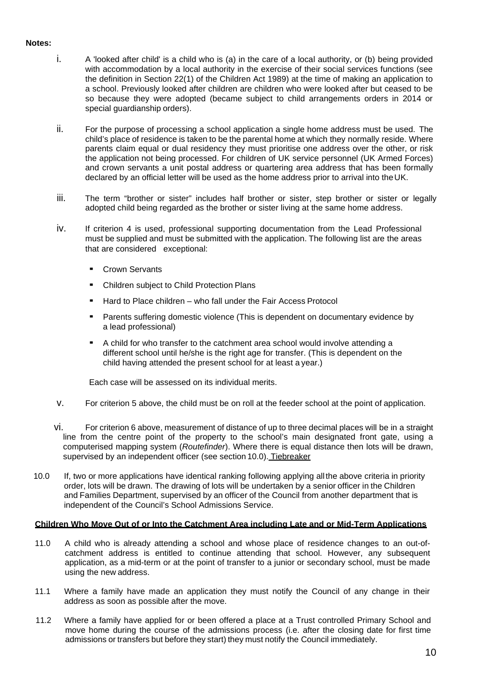# **Notes:**

- i. A 'looked after child' is a child who is (a) in the care of a local authority, or (b) being provided with accommodation by a local authority in the exercise of their social services functions (see the definition in Section 22(1) of the Children Act 1989) at the time of making an application to a school. Previously looked after children are children who were looked after but ceased to be so because they were adopted (became subject to child arrangements orders in 2014 or special quardianship orders).
- ii. For the purpose of processing a school application a single home address must be used. The child's place of residence is taken to be the parental home at which they normally reside. Where parents claim equal or dual residency they must prioritise one address over the other, or risk the application not being processed. For children of UK service personnel (UK Armed Forces) and crown servants a unit postal address or quartering area address that has been formally declared by an official letter will be used as the home address prior to arrival into theUK.
- iii. The term "brother or sister" includes half brother or sister, step brother or sister or legally adopted child being regarded as the brother or sister living at the same home address.
- iv. If criterion 4 is used, professional supporting documentation from the Lead Professional must be supplied and must be submitted with the application. The following list are the areas that are considered exceptional:
	- Crown Servants
	- Children subject to Child Protection Plans
	- Hard to Place children who fall under the Fair Access Protocol
	- Parents suffering domestic violence (This is dependent on documentary evidence by a lead professional)
	- A child for who transfer to the catchment area school would involve attending a different school until he/she is the right age for transfer. (This is dependent on the child having attended the present school for at least a year.)

Each case will be assessed on its individual merits.

- v. For criterion 5 above, the child must be on roll at the feeder school at the point of application.
- vi. For criterion 6 above, measurement of distance of up to three decimal places will be in a straight line from the centre point of the property to the school's main designated front gate, using a computerised mapping system (*Routefinder*). Where there is equal distance then lots will be drawn, supervised by an independent officer (see section 10.0). Tiebreaker
- 10.0 If, two or more applications have identical ranking following applying allthe above criteria in priority order, lots will be drawn. The drawing of lots will be undertaken by a senior officer in the Children and Families Department, supervised by an officer of the Council from another department that is independent of the Council's School Admissions Service.

# **Children Who Move Out of or Into the Catchment Area including Late and or Mid-Term Applications**

- 11.0 A child who is already attending a school and whose place of residence changes to an out-ofcatchment address is entitled to continue attending that school. However, any subsequent application, as a mid-term or at the point of transfer to a junior or secondary school, must be made using the new address.
- 11.1 Where a family have made an application they must notify the Council of any change in their address as soon as possible after the move.
- 11.2 Where a family have applied for or been offered a place at a Trust controlled Primary School and move home during the course of the admissions process (i.e. after the closing date for first time admissions or transfers but before they start) they must notify the Council immediately.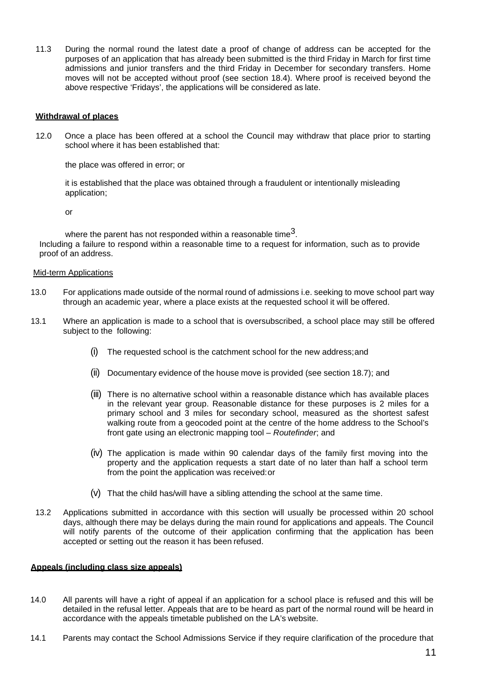11.3 During the normal round the latest date a proof of change of address can be accepted for the purposes of an application that has already been submitted is the third Friday in March for first time admissions and junior transfers and the third Friday in December for secondary transfers. Home moves will not be accepted without proof (see section 18.4). Where proof is received beyond the above respective 'Fridays', the applications will be considered as late.

#### **Withdrawal of places**

12.0 Once a place has been offered at a school the Council may withdraw that place prior to starting school where it has been established that:

the place was offered in error; or

it is established that the place was obtained through a fraudulent or intentionally misleading application;

or

where the parent has not responded within a reasonable time<sup>3</sup>. Including a failure to respond within a reasonable time to a request for information, such as to provide proof of an address.

#### Mid-term Applications

- 13.0 For applications made outside of the normal round of admissions i.e. seeking to move school part way through an academic year, where a place exists at the requested school it will be offered.
- 13.1 Where an application is made to a school that is oversubscribed, a school place may still be offered subject to the following:
	- (i) The requested school is the catchment school for the new address;and
	- (ii) Documentary evidence of the house move is provided (see section 18.7); and
	- (iii) There is no alternative school within a reasonable distance which has available places in the relevant year group. Reasonable distance for these purposes is 2 miles for a primary school and 3 miles for secondary school, measured as the shortest safest walking route from a geocoded point at the centre of the home address to the School's front gate using an electronic mapping tool – *Routefinder*; and
	- (iv) The application is made within 90 calendar days of the family first moving into the property and the application requests a start date of no later than half a school term from the point the application was received:or
	- (v) That the child has/will have a sibling attending the school at the same time.
- 13.2 Applications submitted in accordance with this section will usually be processed within 20 school days, although there may be delays during the main round for applications and appeals. The Council will notify parents of the outcome of their application confirming that the application has been accepted or setting out the reason it has been refused.

#### **Appeals (including class size appeals)**

- 14.0 All parents will have a right of appeal if an application for a school place is refused and this will be detailed in the refusal letter. Appeals that are to be heard as part of the normal round will be heard in accordance with the appeals timetable published on the LA's website.
- 14.1 Parents may contact the School Admissions Service if they require clarification of the procedure that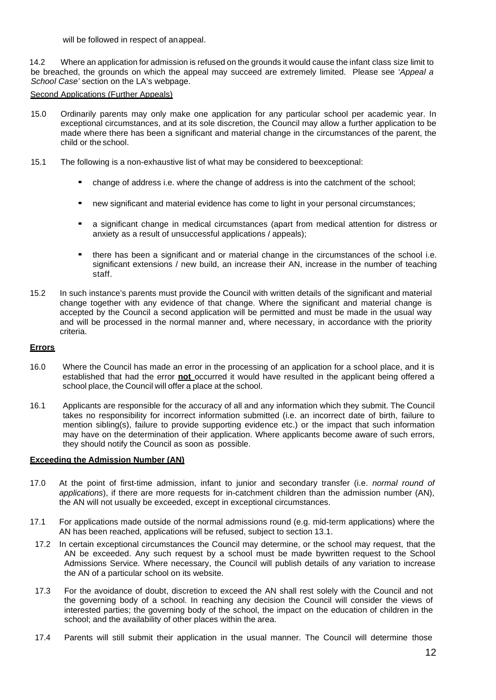will be followed in respect of anappeal.

14.2 Where an application for admission is refused on the grounds it would cause the infant class size limit to be breached, the grounds on which the appeal may succeed are extremely limited. Please see *'Appeal a School Case'* section on the LA's webpage.

#### Second Applications (Further Appeals)

- 15.0 Ordinarily parents may only make one application for any particular school per academic year. In exceptional circumstances, and at its sole discretion, the Council may allow a further application to be made where there has been a significant and material change in the circumstances of the parent, the child or the school.
- 15.1 The following is a non-exhaustive list of what may be considered to beexceptional:
	- change of address i.e. where the change of address is into the catchment of the school;
	- new significant and material evidence has come to light in your personal circumstances;
	- a significant change in medical circumstances (apart from medical attention for distress or anxiety as a result of unsuccessful applications / appeals);
	- there has been a significant and or material change in the circumstances of the school i.e. significant extensions / new build, an increase their AN, increase in the number of teaching staff.
- 15.2 In such instance's parents must provide the Council with written details of the significant and material change together with any evidence of that change. Where the significant and material change is accepted by the Council a second application will be permitted and must be made in the usual way and will be processed in the normal manner and, where necessary, in accordance with the priority criteria.

#### **Errors**

- 16.0 Where the Council has made an error in the processing of an application for a school place, and it is established that had the error **not** occurred it would have resulted in the applicant being offered a school place, the Council will offer a place at the school.
- 16.1 Applicants are responsible for the accuracy of all and any information which they submit. The Council takes no responsibility for incorrect information submitted (i.e. an incorrect date of birth, failure to mention sibling(s), failure to provide supporting evidence etc.) or the impact that such information may have on the determination of their application. Where applicants become aware of such errors, they should notify the Council as soon as possible.

#### **Exceeding the Admission Number (AN)**

- 17.0 At the point of first-time admission, infant to junior and secondary transfer (i.e. *normal round of applications*), if there are more requests for in-catchment children than the admission number (AN), the AN will not usually be exceeded, except in exceptional circumstances.
- 17.1 For applications made outside of the normal admissions round (e.g. mid-term applications) where the AN has been reached, applications will be refused, subject to section 13.1.
- 17.2 In certain exceptional circumstances the Council may determine, or the school may request, that the AN be exceeded. Any such request by a school must be made bywritten request to the School Admissions Service. Where necessary, the Council will publish details of any variation to increase the AN of a particular school on its website.
- 17.3 For the avoidance of doubt, discretion to exceed the AN shall rest solely with the Council and not the governing body of a school. In reaching any decision the Council will consider the views of interested parties; the governing body of the school, the impact on the education of children in the school; and the availability of other places within the area.
- 17.4 Parents will still submit their application in the usual manner. The Council will determine those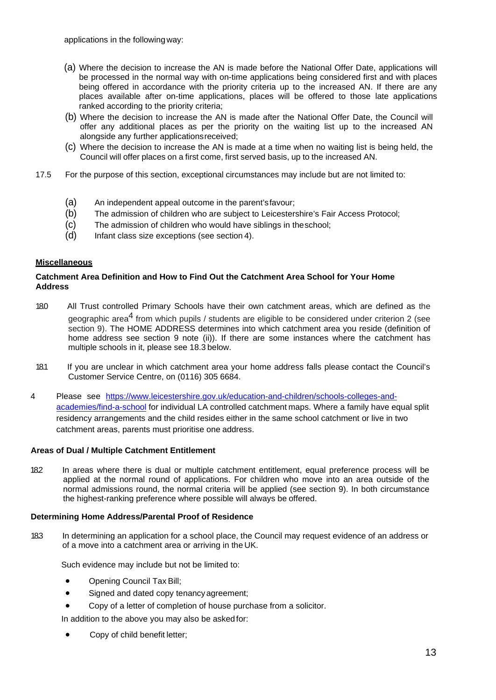applications in the followingway:

- (a) Where the decision to increase the AN is made before the National Offer Date, applications will be processed in the normal way with on-time applications being considered first and with places being offered in accordance with the priority criteria up to the increased AN. If there are any places available after on-time applications, places will be offered to those late applications ranked according to the priority criteria;
- (b) Where the decision to increase the AN is made after the National Offer Date, the Council will offer any additional places as per the priority on the waiting list up to the increased AN alongside any further applicationsreceived;
- (c) Where the decision to increase the AN is made at a time when no waiting list is being held, the Council will offer places on a first come, first served basis, up to the increased AN.
- 17.5 For the purpose of this section, exceptional circumstances may include but are not limited to:
	- (a) An independent appeal outcome in the parent'sfavour;
	- (b) The admission of children who are subject to Leicestershire's Fair Access Protocol;
	- (c) The admission of children who would have siblings in theschool;
	- (d) Infant class size exceptions (see section 4).

#### **Miscellaneous**

#### **Catchment Area Definition and How to Find Out the Catchment Area School for Your Home Address**

- 18.0 All Trust controlled Primary Schools have their own catchment areas, which are defined as the geographic area<sup>4</sup> from which pupils / students are eligible to be considered under criterion 2 (see section 9). The HOME ADDRESS determines into which catchment area you reside (definition of home address see section 9 note (ii)). If there are some instances where the catchment has multiple schools in it, please see 18.3 below.
- 18.1 If you are unclear in which catchment area your home address falls please contact the Council's Customer Service Centre, on (0116) 305 6684.
- 4 Please see [https://www.leicestershire.gov.uk/education-and-children/schools-colleges-and](https://www.leicestershire.gov.uk/education-and-children/schools-colleges-and-academies/find-a-school)[academies/find-a-school](https://www.leicestershire.gov.uk/education-and-children/schools-colleges-and-academies/find-a-school) for individual LA controlled catchment maps. Where a family have equal split residency arrangements and the child resides either in the same school catchment or live in two catchment areas, parents must prioritise one address.

#### **Areas of Dual / Multiple Catchment Entitlement**

182 In areas where there is dual or multiple catchment entitlement, equal preference process will be applied at the normal round of applications. For children who move into an area outside of the normal admissions round, the normal criteria will be applied (see section 9). In both circumstance the highest-ranking preference where possible will always be offered.

# **Determining Home Address/Parental Proof of Residence**

18.3 In determining an application for a school place, the Council may request evidence of an address or of a move into a catchment area or arriving in the UK.

Such evidence may include but not be limited to:

- Opening Council Tax Bill;
- Signed and dated copy tenancy agreement;
- Copy of a letter of completion of house purchase from a solicitor.

In addition to the above you may also be askedfor:

• Copy of child benefit letter;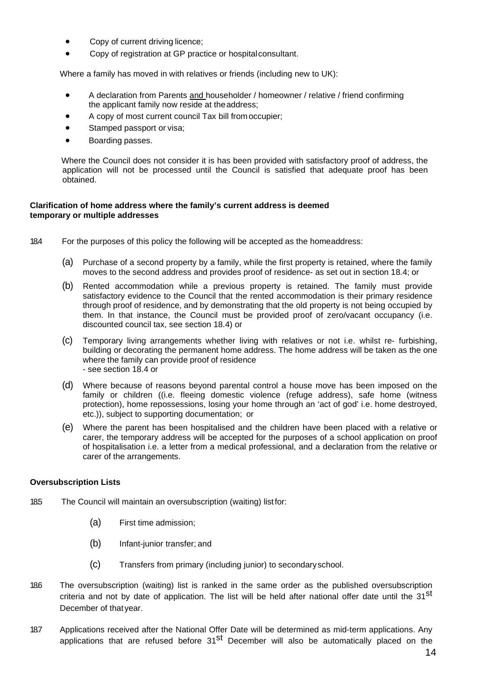- Copy of current driving licence;
- Copy of registration at GP practice or hospitalconsultant.

Where a family has moved in with relatives or friends (including new to UK):

- A declaration from Parents and householder / homeowner / relative / friend confirming the applicant family now reside at theaddress;
- A copy of most current council Tax bill fromoccupier;
- Stamped passport or visa;
- Boarding passes.

Where the Council does not consider it is has been provided with satisfactory proof of address, the application will not be processed until the Council is satisfied that adequate proof has been obtained.

#### **Clarification of home address where the family's current address is deemed temporary or multiple addresses**

- 18.4 For the purposes of this policy the following will be accepted as the homeaddress:
	- (a) Purchase of a second property by a family, while the first property is retained, where the family moves to the second address and provides proof of residence- as set out in section 18.4; or
	- (b) Rented accommodation while a previous property is retained. The family must provide satisfactory evidence to the Council that the rented accommodation is their primary residence through proof of residence, and by demonstrating that the old property is not being occupied by them. In that instance, the Council must be provided proof of zero/vacant occupancy (i.e. discounted council tax, see section 18.4) or
	- (c) Temporary living arrangements whether living with relatives or not i.e. whilst re- furbishing, building or decorating the permanent home address. The home address will be taken as the one where the family can provide proof of residence - see section 18.4 or
	- (d) Where because of reasons beyond parental control a house move has been imposed on the family or children ((i.e. fleeing domestic violence (refuge address), safe home (witness protection), home repossessions, losing your home through an 'act of god' i.e. home destroyed, etc.)), subject to supporting documentation; or
	- (e) Where the parent has been hospitalised and the children have been placed with a relative or carer, the temporary address will be accepted for the purposes of a school application on proof of hospitalisation i.e. a letter from a medical professional, and a declaration from the relative or carer of the arrangements.

# **Oversubscription Lists**

- 185 The Council will maintain an oversubscription (waiting) listfor:
	- (a) First time admission;
	- (b) Infant-junior transfer; and
	- (c) Transfers from primary (including junior) to secondaryschool.
- 186 The oversubscription (waiting) list is ranked in the same order as the published oversubscription criteria and not by date of application. The list will be held after national offer date until the 31<sup>st</sup> December of thatyear.
- 18.7 Applications received after the National Offer Date will be determined as mid-term applications. Any applications that are refused before 31<sup>st</sup> December will also be automatically placed on the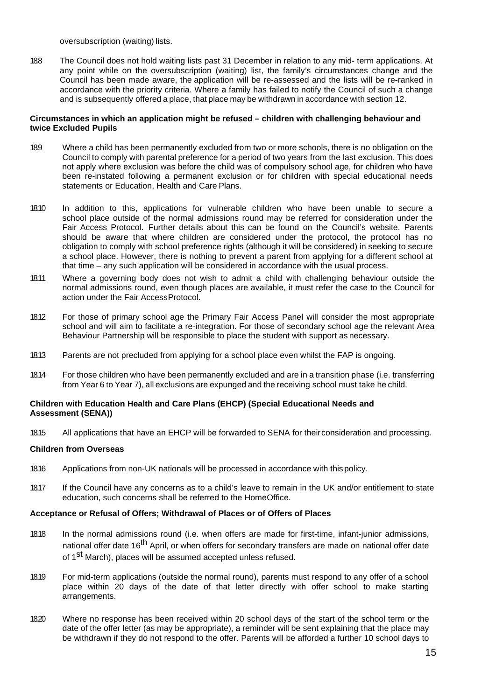oversubscription (waiting) lists.

18.8 The Council does not hold waiting lists past 31 December in relation to any mid- term applications. At any point while on the oversubscription (waiting) list, the family's circumstances change and the Council has been made aware, the application will be re-assessed and the lists will be re-ranked in accordance with the priority criteria. Where a family has failed to notify the Council of such a change and is subsequently offered a place, that place may be withdrawn in accordance with section 12.

#### **Circumstances in which an application might be refused – children with challenging behaviour and twice Excluded Pupils**

- 18.9 Where a child has been permanently excluded from two or more schools, there is no obligation on the Council to comply with parental preference for a period of two years from the last exclusion. This does not apply where exclusion was before the child was of compulsory school age, for children who have been re-instated following a permanent exclusion or for children with special educational needs statements or Education, Health and Care Plans.
- 18.10 In addition to this, applications for vulnerable children who have been unable to secure a school place outside of the normal admissions round may be referred for consideration under the Fair Access Protocol. Further details about this can be found on the Council's website. Parents should be aware that where children are considered under the protocol, the protocol has no obligation to comply with school preference rights (although it will be considered) in seeking to secure a school place. However, there is nothing to prevent a parent from applying for a different school at that time – any such application will be considered in accordance with the usual process.
- 18.11 Where a governing body does not wish to admit a child with challenging behaviour outside the normal admissions round, even though places are available, it must refer the case to the Council for action under the Fair AccessProtocol.
- 18.12 For those of primary school age the Primary Fair Access Panel will consider the most appropriate school and will aim to facilitate a re-integration. For those of secondary school age the relevant Area Behaviour Partnership will be responsible to place the student with support as necessary.
- 18.13 Parents are not precluded from applying for a school place even whilst the FAP is ongoing.
- 18.14 For those children who have been permanently excluded and are in a transition phase (i.e. transferring from Year 6 to Year 7), all exclusions are expunged and the receiving school must take he child.

#### **Children with Education Health and Care Plans (EHCP) (Special Educational Needs and Assessment (SENA))**

18.15 All applications that have an EHCP will be forwarded to SENA for theirconsideration and processing.

# **Children from Overseas**

- 18.16 Applications from non-UK nationals will be processed in accordance with thispolicy.
- 18.17 If the Council have any concerns as to a child's leave to remain in the UK and/or entitlement to state education, such concerns shall be referred to the HomeOffice.

#### **Acceptance or Refusal of Offers; Withdrawal of Places or of Offers of Places**

- 18.18 In the normal admissions round (i.e. when offers are made for first-time, infant-junior admissions, national offer date 16<sup>th</sup> April, or when offers for secondary transfers are made on national offer date of 1<sup>st</sup> March), places will be assumed accepted unless refused.
- 18.19 For mid-term applications (outside the normal round), parents must respond to any offer of a school place within 20 days of the date of that letter directly with offer school to make starting arrangements.
- 18.20 Where no response has been received within 20 school days of the start of the school term or the date of the offer letter (as may be appropriate), a reminder will be sent explaining that the place may be withdrawn if they do not respond to the offer. Parents will be afforded a further 10 school days to